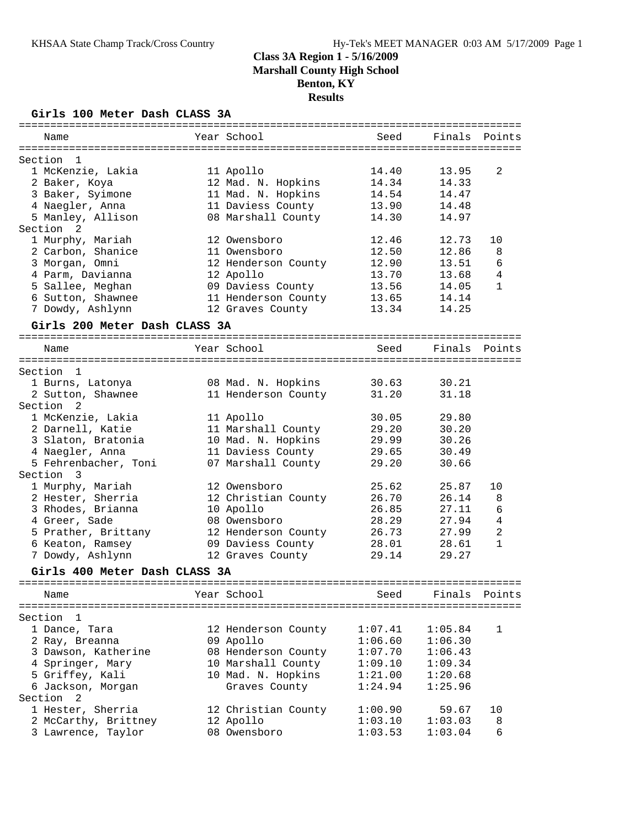### **Girls 100 Meter Dash CLASS 3A**

|                                   |                     | ================= |                |                |
|-----------------------------------|---------------------|-------------------|----------------|----------------|
| Name                              | Year School         | Seed              | Finals         | Points         |
|                                   |                     |                   |                |                |
| Section<br>1                      |                     |                   |                |                |
| 1 McKenzie, Lakia                 | 11 Apollo           | 14.40             | 13.95<br>14.33 | 2              |
| 2 Baker, Koya                     | 12 Mad. N. Hopkins  | 14.34             |                |                |
| 3 Baker, Syimone                  | 11 Mad. N. Hopkins  | 14.54             | 14.47          |                |
| 4 Naegler, Anna                   | 11 Daviess County   | 13.90<br>14.30    | 14.48<br>14.97 |                |
| 5 Manley, Allison<br>Section<br>2 | 08 Marshall County  |                   |                |                |
| 1 Murphy, Mariah                  | 12 Owensboro        | 12.46             | 12.73          | 10             |
| 2 Carbon, Shanice                 | 11 Owensboro        | 12.50             | 12.86          | 8              |
| 3 Morgan, Omni                    | 12 Henderson County | 12.90             | 13.51          | 6              |
| 4 Parm, Davianna                  | 12 Apollo           | 13.70             | 13.68          | 4              |
| 5 Sallee, Meghan                  | 09 Daviess County   | 13.56             | 14.05          | $\mathbf{1}$   |
| 6 Sutton, Shawnee                 | 11 Henderson County | 13.65             | 14.14          |                |
| 7 Dowdy, Ashlynn                  | 12 Graves County    | 13.34             | 14.25          |                |
|                                   |                     |                   |                |                |
| Girls 200 Meter Dash CLASS 3A     |                     |                   |                |                |
| Name                              | Year School         | Seed              | Finals         | Points         |
| Section<br>$\mathbf{1}$           |                     |                   |                |                |
| 1 Burns, Latonya                  | 08 Mad. N. Hopkins  | 30.63             | 30.21          |                |
| 2 Sutton, Shawnee                 | 11 Henderson County | 31.20             | 31.18          |                |
| Section<br>2                      |                     |                   |                |                |
| 1 McKenzie, Lakia                 | 11 Apollo           | 30.05             | 29.80          |                |
| 2 Darnell, Katie                  | 11 Marshall County  | 29.20             | 30.20          |                |
| 3 Slaton, Bratonia                | 10 Mad. N. Hopkins  | 29.99             | 30.26          |                |
| 4 Naegler, Anna                   | 11 Daviess County   | 29.65             | 30.49          |                |
| 5 Fehrenbacher, Toni              | 07 Marshall County  | 29.20             | 30.66          |                |
| Section<br>3                      |                     |                   |                |                |
| 1 Murphy, Mariah                  | 12 Owensboro        | 25.62             | 25.87          | 10             |
| 2 Hester, Sherria                 | 12 Christian County | 26.70             | 26.14          | 8              |
| 3 Rhodes, Brianna                 | 10 Apollo           | 26.85             | 27.11          | 6              |
| 4 Greer, Sade                     | 08 Owensboro        | 28.29             | 27.94          | $\overline{4}$ |
| 5 Prather, Brittany               | 12 Henderson County | 26.73             | 27.99          | $\mathbf{2}$   |
| 6 Keaton, Ramsey                  | 09 Daviess County   | 28.01             | 28.61          | $\mathbf{1}$   |
| 7 Dowdy, Ashlynn                  | 12 Graves County    | 29.14             | 29.27          |                |
| Girls 400 Meter Dash CLASS 3A     |                     |                   |                |                |
| Name                              | Year School         | Seed              | Finals         | Points         |
|                                   |                     |                   |                |                |
| Section<br>1                      |                     |                   |                |                |
| 1 Dance, Tara                     | 12 Henderson County | 1:07.41           | 1:05.84        | 1              |
| 2 Ray, Breanna                    | 09 Apollo           | 1:06.60           | 1:06.30        |                |
| 3 Dawson, Katherine               | 08 Henderson County | 1:07.70           | 1:06.43        |                |
| 4 Springer, Mary                  | 10 Marshall County  | 1:09.10           | 1:09.34        |                |
| 5 Griffey, Kali                   | 10 Mad. N. Hopkins  | 1:21.00           | 1:20.68        |                |
| 6 Jackson, Morgan                 | Graves County       | 1:24.94           | 1:25.96        |                |
| Section<br>2                      |                     |                   |                |                |
| 1 Hester, Sherria                 | 12 Christian County | 1:00.90           | 59.67          | 10             |
| 2 McCarthy, Brittney              | 12 Apollo           | 1:03.10           | 1:03.03        | 8              |
| 3 Lawrence, Taylor                | 08 Owensboro        | 1:03.53           | 1:03.04        | 6              |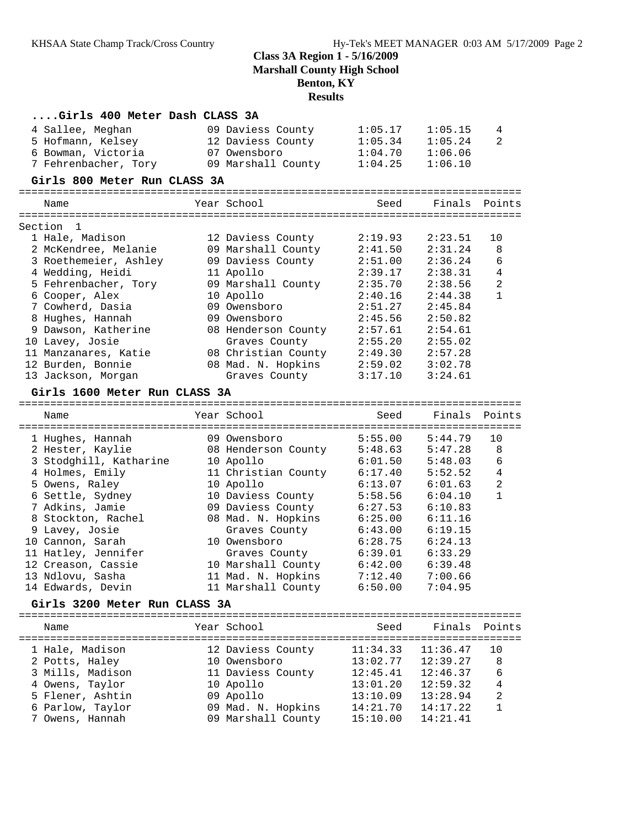| Girls 400 Meter Dash CLASS 3A           |  |                                         |                    |                    |                |  |  |  |
|-----------------------------------------|--|-----------------------------------------|--------------------|--------------------|----------------|--|--|--|
| 4 Sallee, Meghan                        |  | 09 Daviess County                       | 1:05.17            | 1:05.15            | 4              |  |  |  |
| 5 Hofmann, Kelsey                       |  | 12 Daviess County                       | 1:05.34            | 1:05.24            | 2              |  |  |  |
| 6 Bowman, Victoria                      |  | 07 Owensboro                            | 1:04.70            | 1:06.06            |                |  |  |  |
| 7 Fehrenbacher, Tory                    |  | 09 Marshall County                      | 1:04.25            | 1:06.10            |                |  |  |  |
| Girls 800 Meter Run CLASS 3A            |  |                                         |                    |                    |                |  |  |  |
|                                         |  |                                         |                    |                    |                |  |  |  |
| Name                                    |  | Year School                             | Seed               | Finals Points      |                |  |  |  |
|                                         |  |                                         |                    |                    |                |  |  |  |
| Section<br>1                            |  |                                         |                    |                    | 10             |  |  |  |
| 1 Hale, Madison<br>2 McKendree, Melanie |  | 12 Daviess County                       | 2:19.93<br>2:41.50 | 2:23.51            | 8              |  |  |  |
| 3 Roethemeier, Ashley                   |  | 09 Marshall County<br>09 Daviess County | 2:51.00            | 2:31.24<br>2:36.24 | 6              |  |  |  |
| 4 Wedding, Heidi                        |  | 11 Apollo                               | 2:39.17            | 2:38.31            | $\overline{4}$ |  |  |  |
| 5 Fehrenbacher, Tory                    |  | 09 Marshall County                      | 2:35.70            | 2:38.56            | $\overline{a}$ |  |  |  |
| 6 Cooper, Alex                          |  | 10 Apollo                               | 2:40.16            | 2:44.38            | $\mathbf{1}$   |  |  |  |
| 7 Cowherd, Dasia                        |  | 09 Owensboro                            | 2:51.27            | 2:45.84            |                |  |  |  |
| 8 Hughes, Hannah                        |  | 09 Owensboro                            | 2:45.56            | 2:50.82            |                |  |  |  |
| 9 Dawson, Katherine                     |  | 08 Henderson County                     | 2:57.61            | 2:54.61            |                |  |  |  |
| 10 Lavey, Josie                         |  | Graves County                           | 2:55.20            | 2:55.02            |                |  |  |  |
| 11 Manzanares, Katie                    |  | 08 Christian County                     | 2:49.30            | 2:57.28            |                |  |  |  |
| 12 Burden, Bonnie                       |  | 08 Mad. N. Hopkins                      | 2:59.02            | 3:02.78            |                |  |  |  |
| 13 Jackson, Morgan                      |  | Graves County                           | 3:17.10            | 3:24.61            |                |  |  |  |
|                                         |  |                                         |                    |                    |                |  |  |  |
| Girls 1600 Meter Run CLASS 3A           |  |                                         |                    |                    |                |  |  |  |
| Name                                    |  | Year School                             | Seed               | Finals             | Points         |  |  |  |
|                                         |  |                                         |                    |                    |                |  |  |  |
| 1 Hughes, Hannah                        |  | 09 Owensboro                            | 5:55.00            | 5:44.79            | 10             |  |  |  |
| 2 Hester, Kaylie                        |  | 08 Henderson County                     | 5:48.63            | 5:47.28            | 8              |  |  |  |
| 3 Stodghill, Katharine                  |  | 10 Apollo                               | 6:01.50            | 5:48.03            | 6              |  |  |  |
| 4 Holmes, Emily                         |  | 11 Christian County                     | 6:17.40            | 5:52.52            | $\overline{4}$ |  |  |  |
| 5 Owens, Raley                          |  | 10 Apollo                               | 6:13.07            | 6:01.63            | $\overline{a}$ |  |  |  |
| 6 Settle, Sydney                        |  | 10 Daviess County                       | 5:58.56            | 6:04.10            | $\mathbf{1}$   |  |  |  |
| 7 Adkins, Jamie                         |  | 09 Daviess County                       | 6:27.53            | 6:10.83            |                |  |  |  |
| 8 Stockton, Rachel                      |  | 08 Mad. N. Hopkins                      | 6:25.00            | 6:11.16            |                |  |  |  |
| 9 Lavey, Josie                          |  | Graves County                           | 6:43.00            | 6:19.15            |                |  |  |  |
| 10 Cannon, Sarah                        |  | 10 Owensboro                            | 6:28.75            | 6:24.13            |                |  |  |  |
| 11 Hatley, Jennifer                     |  | Graves County                           | 6:39.01            | 6:33.29            |                |  |  |  |
| 12 Creason, Cassie                      |  | 10 Marshall County                      | 6:42.00            | 6:39.48            |                |  |  |  |
| 13 Ndlovu, Sasha                        |  | 11 Mad. N. Hopkins                      | 7:12.40            | 7:00.66            |                |  |  |  |
| 14 Edwards, Devin                       |  | 11 Marshall County                      | 6:50.00            | 7:04.95            |                |  |  |  |
| Girls 3200 Meter Run CLASS 3A           |  |                                         |                    |                    |                |  |  |  |
|                                         |  |                                         |                    |                    |                |  |  |  |
| Name                                    |  | Year School                             | Seed               | Finals             | Points         |  |  |  |
| 1 Hale, Madison                         |  | 12 Daviess County                       | 11:34.33           | 11:36.47           | 10             |  |  |  |
| 2 Potts, Haley                          |  | 10 Owensboro                            | 13:02.77           | 12:39.27           | 8              |  |  |  |
| 3 Mills, Madison                        |  | 11 Daviess County                       | 12:45.41           | 12:46.37           | 6              |  |  |  |
| 4 Owens, Taylor                         |  | 10 Apollo                               | 13:01.20           | 12:59.32           | 4              |  |  |  |
| 5 Flener, Ashtin                        |  | 09 Apollo                               | 13:10.09           | 13:28.94           | 2              |  |  |  |
| 6 Parlow, Taylor                        |  | 09 Mad. N. Hopkins                      | 14:21.70           | 14:17.22           | 1              |  |  |  |
|                                         |  |                                         |                    |                    |                |  |  |  |
| 7 Owens, Hannah                         |  | 09 Marshall County                      | 15:10.00           | 14:21.41           |                |  |  |  |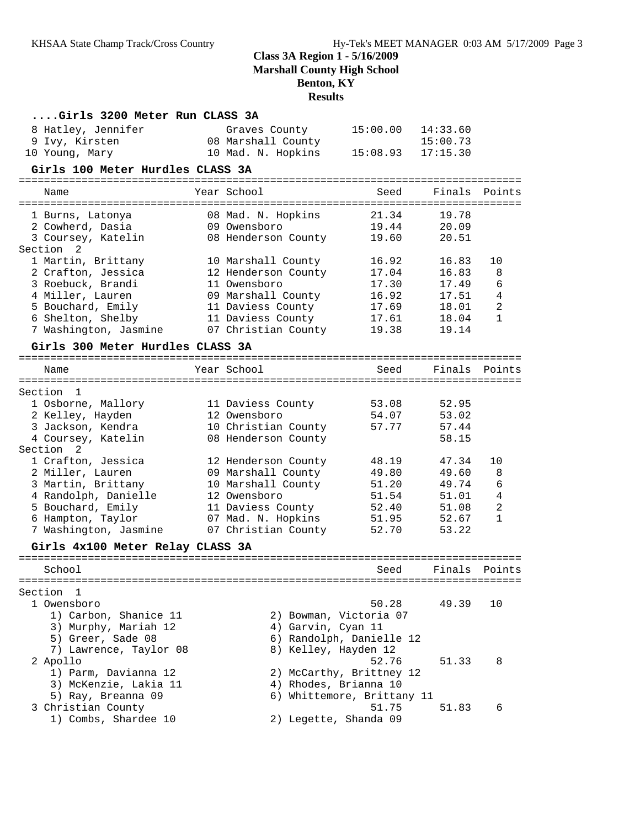| Girls 3200 Meter Run CLASS 3A            |                                        |                                     |                |                |
|------------------------------------------|----------------------------------------|-------------------------------------|----------------|----------------|
| 8 Hatley, Jennifer                       | Graves County                          | 15:00.00                            | 14:33.60       |                |
| 9 Ivy, Kirsten                           | 08 Marshall County                     |                                     | 15:00.73       |                |
| 10 Young, Mary                           | 10 Mad. N. Hopkins                     | 15:08.93                            | 17:15.30       |                |
| Girls 100 Meter Hurdles CLASS 3A         |                                        |                                     |                |                |
| Name                                     | Year School                            | Seed                                | Finals         | Points         |
|                                          |                                        |                                     |                |                |
| 1 Burns, Latonya                         | 08 Mad. N. Hopkins                     | 21.34                               | 19.78          |                |
| 2 Cowherd, Dasia                         | 09 Owensboro                           | 19.44                               | 20.09          |                |
| 3 Coursey, Katelin                       | 08 Henderson County                    | 19.60                               | 20.51          |                |
| Section<br>2                             |                                        |                                     |                |                |
| 1 Martin, Brittany                       | 10 Marshall County                     | 16.92                               | 16.83          | 10             |
| 2 Crafton, Jessica                       | 12 Henderson County                    | 17.04                               | 16.83          | 8              |
| 3 Roebuck, Brandi<br>4 Miller, Lauren    | 11 Owensboro                           | 17.30<br>16.92                      | 17.49<br>17.51 | 6<br>4         |
| 5 Bouchard, Emily                        | 09 Marshall County                     | 17.69                               | 18.01          | $\overline{2}$ |
| 6 Shelton, Shelby                        | 11 Daviess County<br>11 Daviess County | 17.61                               | 18.04          | $\mathbf{1}$   |
| 7 Washington, Jasmine                    | 07 Christian County                    | 19.38                               | 19.14          |                |
|                                          |                                        |                                     |                |                |
| Girls 300 Meter Hurdles CLASS 3A         |                                        |                                     |                |                |
| Name                                     | Year School                            | Seed                                | Finals         | Points         |
| Section<br>$\overline{\phantom{0}}$      |                                        |                                     |                |                |
| 1 Osborne, Mallory                       | 11 Daviess County                      | 53.08                               | 52.95          |                |
| 2 Kelley, Hayden                         | 12 Owensboro                           | 54.07                               | 53.02          |                |
| 3 Jackson, Kendra                        | 10 Christian County                    | 57.77                               | 57.44          |                |
| 4 Coursey, Katelin                       | 08 Henderson County                    |                                     | 58.15          |                |
| Section<br>$\overline{\phantom{0}}^2$    |                                        |                                     |                |                |
| 1 Crafton, Jessica                       | 12 Henderson County                    | 48.19                               | 47.34          | 10             |
| 2 Miller, Lauren                         | 09 Marshall County                     | 49.80                               | 49.60          | 8              |
| 3 Martin, Brittany                       | 10 Marshall County                     | 51.20                               | 49.74          | 6              |
| 4 Randolph, Danielle                     | 12 Owensboro                           | 51.54                               | 51.01          | $\overline{4}$ |
| 5 Bouchard, Emily                        | 11 Daviess County                      | 52.40                               | 51.08          | 2              |
| 6 Hampton, Taylor                        | 07 Mad. N. Hopkins                     | 51.95                               | 52.67          | 1              |
| 7 Washington, Jasmine                    | 07 Christian County                    | 52.70                               | 53.22          |                |
| Girls 4x100 Meter Relay CLASS 3A         |                                        |                                     |                |                |
| School                                   |                                        | Seed                                | Finals         | Points         |
|                                          |                                        |                                     |                |                |
| Section<br>1                             |                                        |                                     |                |                |
| 1 Owensboro                              |                                        | 50.28                               | 49.39          | 10             |
| 1) Carbon, Shanice 11                    | 2) Bowman, Victoria 07                 |                                     |                |                |
| 3) Murphy, Mariah 12                     | 4) Garvin, Cyan 11                     |                                     |                |                |
| 5) Greer, Sade 08                        |                                        | 6) Randolph, Danielle 12            |                |                |
| 7) Lawrence, Taylor 08                   | 8) Kelley, Hayden 12                   |                                     |                |                |
| 2 Apollo                                 |                                        | 52.76                               | 51.33          | 8              |
| 1) Parm, Davianna 12                     |                                        | 2) McCarthy, Brittney 12            |                |                |
| 3) McKenzie, Lakia 11                    | 4) Rhodes, Brianna 10                  |                                     |                |                |
| 5) Ray, Breanna 09<br>3 Christian County |                                        | 6) Whittemore, Brittany 11<br>51.75 | 51.83          | 6              |
| 1) Combs, Shardee 10                     | 2) Legette, Shanda 09                  |                                     |                |                |
|                                          |                                        |                                     |                |                |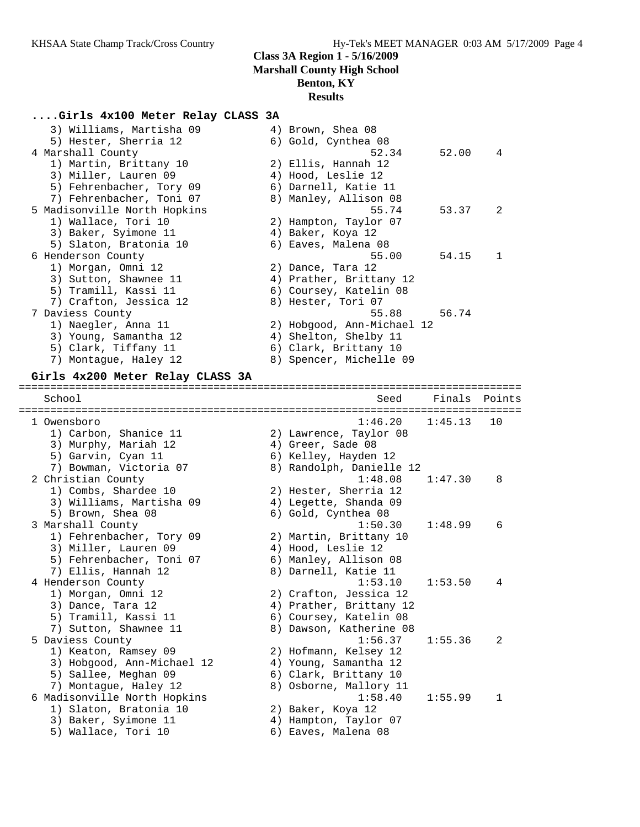# **....Girls 4x100 Meter Relay CLASS 3A**

| 3) Williams, Martisha 09<br>5) Hester, Sherria 12 | 4) Brown, Shea 08<br>6) Gold, Cynthea 08     |         |        |
|---------------------------------------------------|----------------------------------------------|---------|--------|
| 4 Marshall County                                 | 52.34                                        | 52.00   | 4      |
| 1) Martin, Brittany 10                            | 2) Ellis, Hannah 12                          |         |        |
| 3) Miller, Lauren 09                              | 4) Hood, Leslie 12                           |         |        |
| 5) Fehrenbacher, Tory 09                          | 6) Darnell, Katie 11                         |         |        |
| 7) Fehrenbacher, Toni 07                          | 8) Manley, Allison 08                        |         |        |
| 5 Madisonville North Hopkins                      | 55.74                                        | 53.37   | 2      |
| 1) Wallace, Tori 10                               | 2) Hampton, Taylor 07                        |         |        |
| 3) Baker, Syimone 11                              | 4) Baker, Koya 12                            |         |        |
| 5) Slaton, Bratonia 10                            | 6) Eaves, Malena 08                          |         |        |
| 6 Henderson County                                | 55.00                                        | 54.15   | 1      |
| 1) Morgan, Omni 12                                | 2) Dance, Tara 12                            |         |        |
| 3) Sutton, Shawnee 11                             | 4) Prather, Brittany 12                      |         |        |
| 5) Tramill, Kassi 11                              | 6) Coursey, Katelin 08                       |         |        |
| 7) Crafton, Jessica 12                            | 8) Hester, Tori 07                           |         |        |
| 7 Daviess County                                  | 55.88                                        | 56.74   |        |
| 1) Naegler, Anna 11                               | 2) Hobgood, Ann-Michael 12                   |         |        |
| 3) Young, Samantha 12                             | 4) Shelton, Shelby 11                        |         |        |
| 5) Clark, Tiffany 11                              | 6) Clark, Brittany 10                        |         |        |
| 7) Montague, Haley 12                             | 8) Spencer, Michelle 09                      |         |        |
|                                                   |                                              |         |        |
| Girls 4x200 Meter Relay CLASS 3A                  |                                              |         |        |
| School                                            | Seed                                         | Finals  | Points |
|                                                   |                                              |         |        |
| 1 Owensboro                                       | 1:46.20                                      | 1:45.13 | 10     |
| 1) Carbon, Shanice 11                             | 2) Lawrence, Taylor 08                       |         |        |
| 3) Murphy, Mariah 12                              | 4) Greer, Sade 08                            |         |        |
| 5) Garvin, Cyan 11                                | 6) Kelley, Hayden 12                         |         |        |
| 7) Bowman, Victoria 07                            | 8) Randolph, Danielle 12                     |         |        |
| 2 Christian County                                | 1:48.08                                      | 1:47.30 | 8      |
| 1) Combs, Shardee 10                              | 2) Hester, Sherria 12                        |         |        |
| 3) Williams, Martisha 09                          | 4) Legette, Shanda 09                        |         |        |
| 5) Brown, Shea 08                                 | 6) Gold, Cynthea 08                          |         |        |
| 3 Marshall County                                 | 1:50.30                                      | 1:48.99 | 6      |
| 1) Fehrenbacher, Tory 09                          | 2) Martin, Brittany 10                       |         |        |
| 3) Miller, Lauren 09                              | 4) Hood, Leslie 12                           |         |        |
| 5) Fehrenbacher, Toni 07                          | 6) Manley, Allison 08                        |         |        |
| 7) Ellis, Hannah 12                               | 8) Darnell, Katie 11                         |         |        |
|                                                   |                                              |         |        |
|                                                   |                                              |         | 4      |
| 4 Henderson County                                | 1:53.10                                      | 1:53.50 |        |
| 1) Morgan, Omni 12                                | 2) Crafton, Jessica 12                       |         |        |
| 3) Dance, Tara 12                                 | 4) Prather, Brittany 12                      |         |        |
| 5) Tramill, Kassi 11                              | 6) Coursey, Katelin 08                       |         |        |
| 7) Sutton, Shawnee 11                             | 8) Dawson, Katherine 08                      |         |        |
| 5 Daviess County                                  | 1:56.37                                      | 1:55.36 | 2      |
| 1) Keaton, Ramsey 09                              | 2) Hofmann, Kelsey 12                        |         |        |
| 3) Hobgood, Ann-Michael 12                        | 4) Young, Samantha 12                        |         |        |
| 5) Sallee, Meghan 09                              | 6) Clark, Brittany 10                        |         |        |
| 7) Montague, Haley 12                             | 8) Osborne, Mallory 11                       |         |        |
| 6 Madisonville North Hopkins                      | 1:58.40                                      | 1:55.99 | 1      |
| 1) Slaton, Bratonia 10                            | 2) Baker, Koya 12                            |         |        |
| 3) Baker, Syimone 11<br>5) Wallace, Tori 10       | 4) Hampton, Taylor 07<br>6) Eaves, Malena 08 |         |        |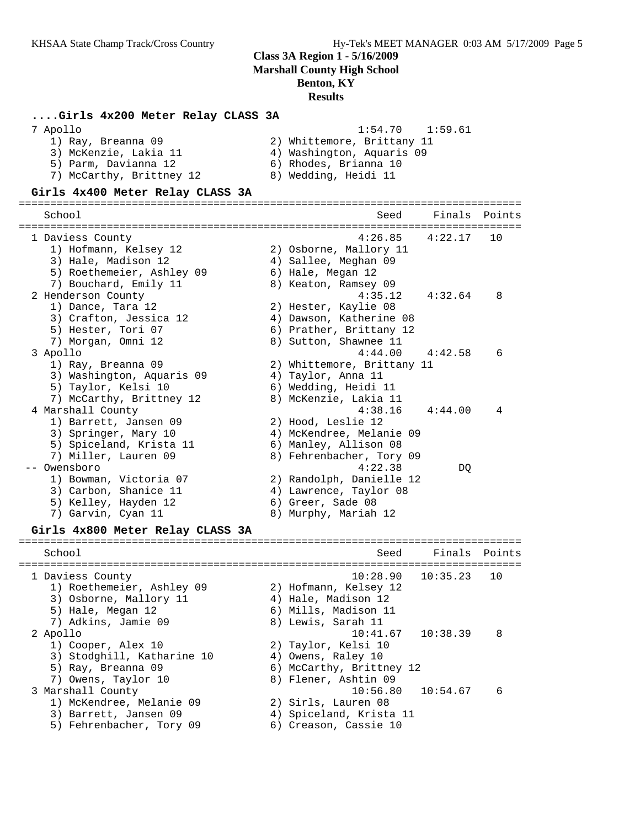#### **....Girls 4x200 Meter Relay CLASS 3A** 7 Apollo 1:54.70 1:59.61

| $\pm$ $\cdot$ $\rightarrow$ $\pm$ $\cdot$ $\rightarrow$ $\pm$ $\cdot$ $\rightarrow$ $\pm$ |
|-------------------------------------------------------------------------------------------|
| 2) Whittemore, Brittany 11                                                                |
| 4) Washington, Aquaris 09                                                                 |
| 6) Rhodes, Brianna 10                                                                     |
| 8) Wedding, Heidi 11                                                                      |
|                                                                                           |

#### **Girls 4x400 Meter Relay CLASS 3A**

================================================================================ School School Seed Finals Points ================================================================================ 1 Daviess County 4:26.85 4:22.17 10 1) Hofmann, Kelsey 12 2) Osborne, Mallory 11 3) Hale, Madison 12 (a) 4) Sallee, Meghan 09 5) Roethemeier, Ashley 09 6) Hale, Megan 12 7) Bouchard, Emily 11  $\qquad \qquad 8)$  Keaton, Ramsey 09 2 Henderson County 4:35.12 4:32.64 8 1) Dance, Tara 12 2) Hester, Kaylie 08 3) Crafton, Jessica 12 4) Dawson, Katherine 08 5) Hester, Tori 07 (6) Prather, Brittany 12 7) Morgan, Omni 12 8) Sutton, Shawnee 11 3 Apollo 4:44.00 4:42.58 6 1) Ray, Breanna 09 2) Whittemore, Brittany 11 3) Washington, Aquaris 09  $\hskip1cm 4$ ) Taylor, Anna 11 5) Taylor, Kelsi 10 6) Wedding, Heidi 11 7) McCarthy, Brittney 12 8) McKenzie, Lakia 11 4 Marshall County 4:38.16 4:44.00 4 1) Barrett, Jansen 09 2) Hood, Leslie 12 3) Springer, Mary 10 4) McKendree, Melanie 09 5) Spiceland, Krista 11 6) Manley, Allison 08 7) Miller, Lauren 09 8) Fehrenbacher, Tory 09 -- Owensboro 4:22.38 DQ 1) Bowman, Victoria 07 2) Randolph, Danielle 12 3) Carbon, Shanice 11 4) Lawrence, Taylor 08 5) Kelley, Hayden 12 (6) Greer, Sade 08 7) Garvin, Cyan 11 8) Murphy, Mariah 12 **Girls 4x800 Meter Relay CLASS 3A** ================================================================================ School Seed Finals Points ================================================================================

| 1 Daviess County           | $10:28.90$ $10:35.23$<br>1 O |
|----------------------------|------------------------------|
| 1) Roethemeier, Ashley 09  | 2) Hofmann, Kelsey 12        |
| 3) Osborne, Mallory 11     | 4) Hale, Madison 12          |
| 5) Hale, Megan 12          | 6) Mills, Madison 11         |
| 7) Adkins, Jamie 09        | 8) Lewis, Sarah 11           |
| 2 Apollo                   | $10:41.67$ $10:38.39$<br>8   |
| 1) Cooper, Alex 10         | 2) Taylor, Kelsi 10          |
| 3) Stodghill, Katharine 10 | 4) Owens, Raley 10           |
| 5) Ray, Breanna 09         | 6) McCarthy, Brittney 12     |
| 7) Owens, Taylor 10        | 8) Flener, Ashtin 09         |
| 3 Marshall County          | $10:56.80$ $10:54.67$<br>6   |
| 1) McKendree, Melanie 09   | 2) Sirls, Lauren 08          |
| 3) Barrett, Jansen 09      | 4) Spiceland, Krista 11      |
| 5) Fehrenbacher, Tory 09   | 6) Creason, Cassie 10        |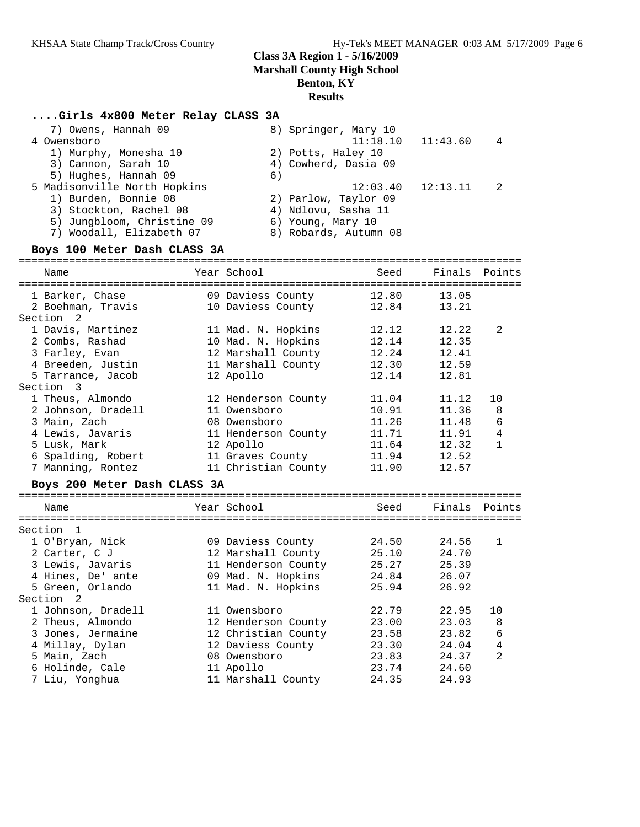#### **....Girls 4x800 Meter Relay CLASS 3A**

| 7) Owens, Hannah 09<br>4 Owensboro | 8) Springer, Mary 10<br>$11:18.10$ $11:43.60$<br>4 |
|------------------------------------|----------------------------------------------------|
| 1) Murphy, Monesha 10              | 2) Potts, Haley 10                                 |
| 3) Cannon, Sarah 10                | 4) Cowherd, Dasia 09                               |
| 5) Hughes, Hannah 09               | 6)                                                 |
| 5 Madisonville North Hopkins       | $12:03.40$ $12:13.11$                              |
| 1) Burden, Bonnie 08               | 2) Parlow, Taylor 09                               |
| 3) Stockton, Rachel 08             | 4) Ndlovu, Sasha 11                                |
| 5) Jungbloom, Christine 09         | 6) Young, Mary 10                                  |
| 7) Woodall, Elizabeth 07           | 8) Robards, Autumn 08                              |

#### **Boys 100 Meter Dash CLASS 3A**

| Name<br>===================================== | Year School<br>================================= |             | Seed Finals Points |                |
|-----------------------------------------------|--------------------------------------------------|-------------|--------------------|----------------|
| 1 Barker, Chase                               | 09 Daviess County                                | 12.80       | 13.05              |                |
| 2 Boehman, Travis 10 Daviess County           |                                                  | 12.84 13.21 |                    |                |
| Section <sub>2</sub>                          |                                                  |             |                    |                |
| 1 Davis, Martinez                             | 11 Mad. N. Hopkins                               | 12.12       | 12.22              | $\mathcal{L}$  |
| 2 Combs, Rashad                               | 10 Mad. N. Hopkins                               | 12.14       | 12.35              |                |
| 3 Farley, Evan                                | 12 Marshall County                               | 12.24       | 12.41              |                |
| 4 Breeden, Justin                             | 11 Marshall County                               | 12.30 12.59 |                    |                |
| 5 Tarrance, Jacob                             | 12 Apollo                                        | 12.14       | 12.81              |                |
| Section 3                                     |                                                  |             |                    |                |
| 1 Theus, Almondo                              | 12 Henderson County                              | 11.04       | 11.12              | 10             |
| 2 Johnson, Dradell                            | 11 Owensboro                                     | 10.91       | 11.36              | 8              |
| 3 Main, Zach                                  | 08 Owensboro                                     | 11.26 11.48 |                    | $\sqrt{6}$     |
| 4 Lewis, Javaris                              | 11 Henderson County                              | 11.71 11.91 |                    | $\sqrt{4}$     |
| 5 Lusk, Mark                                  | 12 Apollo                                        | 11.64       | 12.32              | $\mathbf{1}$   |
| 6 Spalding, Robert                            | 11 Graves County                                 | 11.94       | 12.52              |                |
| 7 Manning, Rontez                             | 11 Christian County                              | 11.90       | 12.57              |                |
| Boys 200 Meter Dash CLASS 3A                  |                                                  |             |                    |                |
|                                               |                                                  |             |                    |                |
| Name                                          | Year School                                      | Seed        | Finals Points      |                |
| Section 1                                     |                                                  |             |                    |                |
| 1 O'Bryan, Nick                               | 09 Daviess County                                | 24.50       | 24.56              | $\mathbf{1}$   |
| 2 Carter, C J                                 | 12 Marshall County 25.10 24.70                   |             |                    |                |
| 3 Lewis, Javaris                              | 11 Henderson County                              | 25.27 25.39 |                    |                |
| 4 Hines, De' ante                             | 09 Mad. N. Hopkins                               | 24.84       | 26.07              |                |
| 5 Green, Orlando                              | 11 Mad. N. Hopkins                               | 25.94       | 26.92              |                |
| Section <sub>2</sub>                          |                                                  |             |                    |                |
| 1 Johnson, Dradell                            | 11 Owensboro                                     | 22.79       | 22.95              | 10             |
| 2 Theus, Almondo                              | 12 Henderson County 23.00 23.03 8                |             |                    |                |
| 3 Jones, Jermaine                             | 12 Christian County 23.58                        |             | 23.82              | $\sqrt{6}$     |
| 4 Millay, Dylan                               | 12 Daviess County                                | 23.30       | 24.04              | $\overline{4}$ |
|                                               |                                                  |             |                    |                |

 5 Main, Zach 08 Owensboro 23.83 24.37 2 6 Holinde, Cale 11 Apollo 23.74 24.60 7 Liu, Yonghua 11 Marshall County 24.35 24.93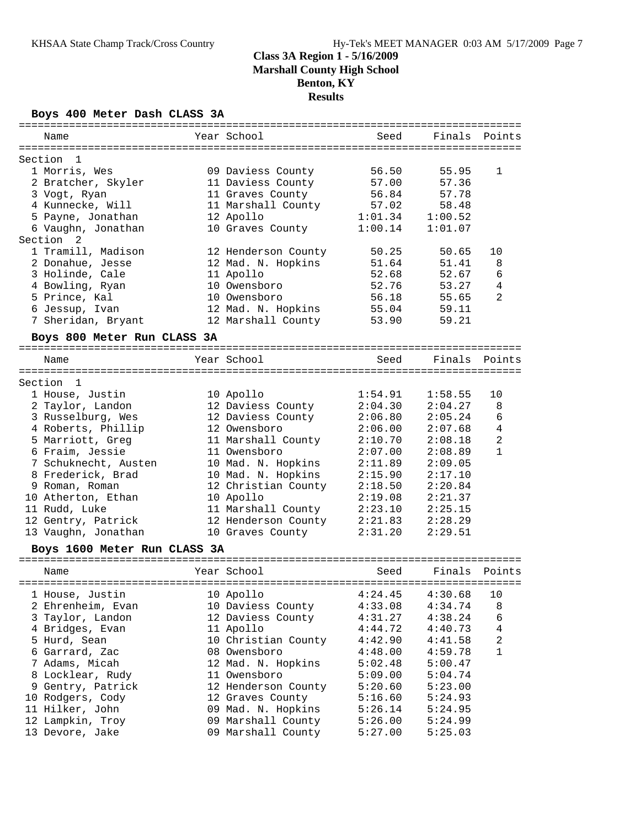#### **Boys 400 Meter Dash CLASS 3A**

|         |                              |                     | ;==================================== | Finals  | Points         |
|---------|------------------------------|---------------------|---------------------------------------|---------|----------------|
| Section | $\overline{1}$               |                     |                                       |         |                |
|         | 1 Morris, Wes                | 09 Daviess County   | 56.50                                 | 55.95   | 1              |
|         | 2 Bratcher, Skyler           | 11 Daviess County   | 57.00                                 | 57.36   |                |
|         | 3 Vogt, Ryan                 | 11 Graves County    | 56.84                                 | 57.78   |                |
|         | 4 Kunnecke, Will             | 11 Marshall County  | 57.02                                 | 58.48   |                |
|         | 5 Payne, Jonathan            | 12 Apollo           | 1:01.34                               | 1:00.52 |                |
|         | 6 Vaughn, Jonathan           | 10 Graves County    | 1:00.14                               | 1:01.07 |                |
|         | Section <sub>2</sub>         |                     |                                       |         |                |
|         | 1 Tramill, Madison           | 12 Henderson County | 50.25                                 | 50.65   | 10             |
|         | 2 Donahue, Jesse             | 12 Mad. N. Hopkins  | 51.64                                 | 51.41   | 8              |
|         | 3 Holinde, Cale              | 11 Apollo           | 52.68                                 | 52.67   | 6              |
|         | 4 Bowling, Ryan              | 10 Owensboro        | 52.76                                 | 53.27   | $\overline{4}$ |
|         | 5 Prince, Kal                | 10 Owensboro        | 56.18                                 | 55.65   | $\overline{2}$ |
|         | 6 Jessup, Ivan               | 12 Mad. N. Hopkins  | 55.04                                 | 59.11   |                |
|         | 7 Sheridan, Bryant           | 12 Marshall County  | 53.90                                 | 59.21   |                |
|         |                              |                     |                                       |         |                |
|         | Boys 800 Meter Run CLASS 3A  |                     |                                       |         |                |
|         | Name                         | Year School         | Seed                                  | Finals  | Points         |
|         |                              |                     |                                       |         |                |
| Section | -1                           |                     |                                       |         |                |
|         | 1 House, Justin              | 10 Apollo           | 1:54.91                               | 1:58.55 | 10             |
|         | 2 Taylor, Landon             | 12 Daviess County   | 2:04.30                               | 2:04.27 | 8              |
|         | 3 Russelburg, Wes            | 12 Daviess County   | 2:06.80                               | 2:05.24 | 6              |
|         | 4 Roberts, Phillip           | 12 Owensboro        | 2:06.00                               | 2:07.68 | $\overline{4}$ |
|         | 5 Marriott, Greg             | 11 Marshall County  | 2:10.70                               | 2:08.18 | $\overline{2}$ |
|         | 6 Fraim, Jessie              | 11 Owensboro        | 2:07.00                               | 2:08.89 | $\mathbf{1}$   |
|         | 7 Schuknecht, Austen         | 10 Mad. N. Hopkins  | 2:11.89                               | 2:09.05 |                |
|         | 8 Frederick, Brad            | 10 Mad. N. Hopkins  | 2:15.90                               | 2:17.10 |                |
|         | 9 Roman, Roman               | 12 Christian County | 2:18.50                               | 2:20.84 |                |
|         | 10 Atherton, Ethan           | 10 Apollo           | 2:19.08                               | 2:21.37 |                |
|         | 11 Rudd, Luke                | 11 Marshall County  | 2:23.10                               | 2:25.15 |                |
|         | 12 Gentry, Patrick           | 12 Henderson County | 2:21.83                               | 2:28.29 |                |
|         | 13 Vaughn, Jonathan          | 10 Graves County    | 2:31.20                               | 2:29.51 |                |
|         | Boys 1600 Meter Run CLASS 3A |                     |                                       |         |                |
|         | Name                         | Year School         | Seed                                  | Finals  | Points         |
|         |                              |                     |                                       |         |                |
|         | 1 House, Justin              | 10 Apollo           | 4:24.45                               | 4:30.68 | 10             |
|         | 2 Ehrenheim, Evan            | 10 Daviess County   | 4:33.08                               | 4:34.74 | 8              |
|         | 3 Taylor, Landon             | 12 Daviess County   | 4:31.27                               | 4:38.24 | 6              |
|         | 4 Bridges, Evan              | 11 Apollo           | 4:44.72                               | 4:40.73 | 4              |
|         | 5 Hurd, Sean                 | 10 Christian County | 4:42.90                               | 4:41.58 | $\sqrt{2}$     |
|         | 6 Garrard, Zac               | 08 Owensboro        | 4:48.00                               | 4:59.78 | $\mathbf 1$    |
|         | 7 Adams, Micah               | 12 Mad. N. Hopkins  | 5:02.48                               | 5:00.47 |                |
|         | 8 Locklear, Rudy             | 11 Owensboro        | 5:09.00                               | 5:04.74 |                |
|         | 9 Gentry, Patrick            | 12 Henderson County | 5:20.60                               | 5:23.00 |                |
|         | 10 Rodgers, Cody             | 12 Graves County    | 5:16.60                               | 5:24.93 |                |
|         | 11 Hilker, John              | 09 Mad. N. Hopkins  | 5:26.14                               | 5:24.95 |                |
|         | 12 Lampkin, Troy             | 09 Marshall County  | 5:26.00                               | 5:24.99 |                |
|         | 13 Devore, Jake              | 09 Marshall County  | 5:27.00                               | 5:25.03 |                |

================================================================================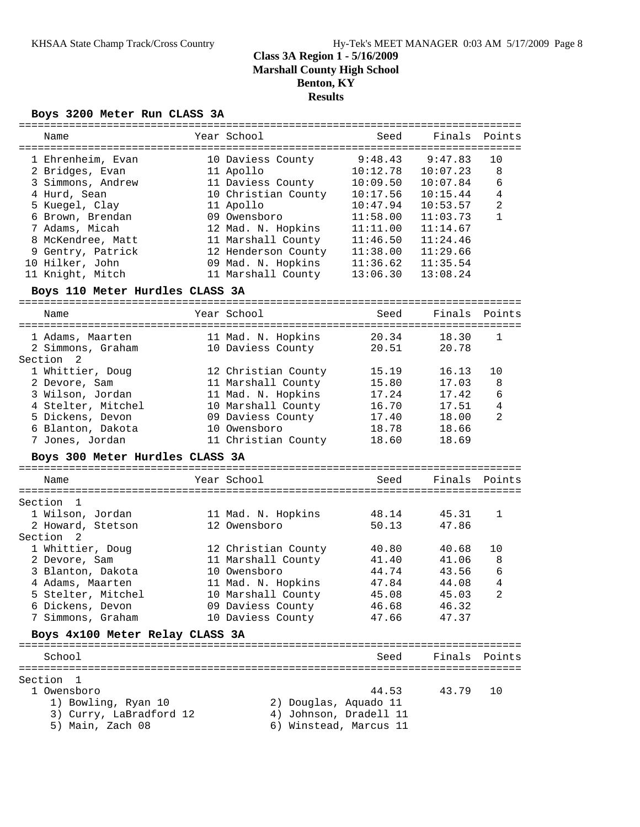### **Boys 3200 Meter Run CLASS 3A**

| Name                            | Year School           | Seed                   | Finals   | Points |
|---------------------------------|-----------------------|------------------------|----------|--------|
|                                 |                       |                        |          |        |
| 1 Ehrenheim, Evan               | 10 Daviess County     | 9:48.43                | 9:47.83  | 10     |
| 2 Bridges, Evan                 | 11 Apollo             | 10:12.78               | 10:07.23 | 8      |
| 3 Simmons, Andrew               | 11 Daviess County     | 10:09.50               | 10:07.84 | 6      |
| 4 Hurd, Sean                    | 10 Christian County   | 10:17.56               | 10:15.44 | 4      |
| 5 Kuegel, Clay                  | 11 Apollo             | 10:47.94               | 10:53.57 | 2      |
| 6 Brown, Brendan                | 09 Owensboro          | 11:58.00               | 11:03.73 | 1      |
| 7 Adams, Micah                  | 12 Mad. N. Hopkins    | 11:11.00               | 11:14.67 |        |
| 8 McKendree, Matt               | 11 Marshall County    | 11:46.50               | 11:24.46 |        |
| 9 Gentry, Patrick               | 12 Henderson County   | 11:38.00               | 11:29.66 |        |
| 10 Hilker, John                 | 09 Mad. N. Hopkins    | 11:36.62               | 11:35.54 |        |
|                                 |                       |                        |          |        |
| 11 Knight, Mitch                | 11 Marshall County    | 13:06.30               | 13:08.24 |        |
| Boys 110 Meter Hurdles CLASS 3A |                       |                        |          |        |
| Name                            | Year School           | Seed                   | Finals   | Points |
|                                 |                       |                        |          |        |
| 1 Adams, Maarten                | 11 Mad. N. Hopkins    | 20.34                  | 18.30    | 1      |
| 2 Simmons, Graham               | 10 Daviess County     | 20.51                  | 20.78    |        |
| Section <sub>2</sub>            |                       |                        |          |        |
| 1 Whittier, Doug                | 12 Christian County   | 15.19                  | 16.13    | 10     |
| 2 Devore, Sam                   | 11 Marshall County    | 15.80                  | 17.03    | 8      |
| 3 Wilson, Jordan                | 11 Mad. N. Hopkins    | 17.24                  | 17.42    | 6      |
| 4 Stelter, Mitchel              | 10 Marshall County    | 16.70                  | 17.51    | 4      |
|                                 | 09 Daviess County     |                        | 18.00    | 2      |
| 5 Dickens, Devon                |                       | 17.40                  |          |        |
| 6 Blanton, Dakota               | 10 Owensboro          | 18.78                  | 18.66    |        |
| 7 Jones, Jordan                 | 11 Christian County   | 18.60                  | 18.69    |        |
| Boys 300 Meter Hurdles CLASS 3A |                       |                        |          |        |
| Name                            | Year School           | Seed                   | Finals   | Points |
|                                 |                       |                        |          |        |
| Section 1                       |                       |                        |          |        |
| 1 Wilson, Jordan                | 11 Mad. N. Hopkins    | 48.14                  | 45.31    | 1      |
| 2 Howard, Stetson               | 12 Owensboro          | 50.13                  | 47.86    |        |
| Section<br>2                    |                       |                        |          |        |
| 1 Whittier, Doug                | 12 Christian County   | 40.80                  | 40.68    | 10     |
| 2 Devore, Sam                   | 11 Marshall County    | 41.40                  | 41.06    | 8      |
| 3 Blanton, Dakota               | 10 Owensboro          | 44.74                  | 43.56    | 6      |
| 4 Adams, Maarten                | 11 Mad. N. Hopkins    | 47.84                  | 44.08    | 4      |
| 5 Stelter, Mitchel              | 10 Marshall County    | 45.08                  | 45.03    | 2      |
| 6 Dickens, Devon                |                       | 46.68                  | 46.32    |        |
|                                 | 09 Daviess County     |                        |          |        |
| 7 Simmons, Graham               | 10 Daviess County     | 47.66                  | 47.37    |        |
| Boys 4x100 Meter Relay CLASS 3A |                       |                        |          |        |
| School                          |                       | Seed                   | Finals   | Points |
|                                 |                       |                        |          |        |
| Section<br>- 1                  |                       |                        |          |        |
| 1 Owensboro                     |                       | 44.53                  | 43.79    | 10     |
| 1) Bowling, Ryan 10             | 2) Douglas, Aquado 11 |                        |          |        |
| 3) Curry, LaBradford 12         |                       | 4) Johnson, Dradell 11 |          |        |
| 5) Main, Zach 08                |                       | 6) Winstead, Marcus 11 |          |        |
|                                 |                       |                        |          |        |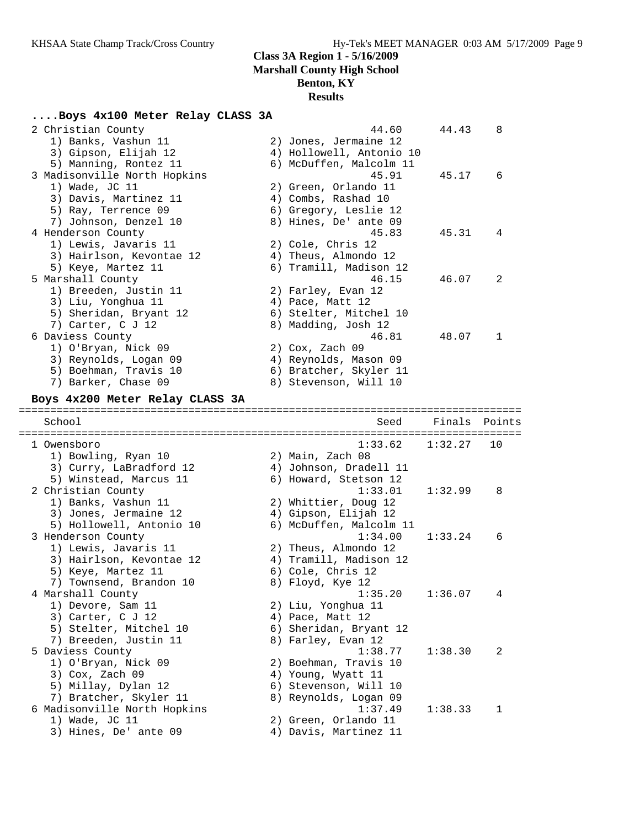# **....Boys 4x100 Meter Relay CLASS 3A**

| 2 Christian County                            | 44.60                                       | 44.43   | 8      |
|-----------------------------------------------|---------------------------------------------|---------|--------|
| 1) Banks, Vashun 11                           | 2) Jones, Jermaine 12                       |         |        |
| 3) Gipson, Elijah 12                          | 4) Hollowell, Antonio 10                    |         |        |
| 5) Manning, Rontez 11                         | 6) McDuffen, Malcolm 11                     |         |        |
| 3 Madisonville North Hopkins                  | 45.91                                       | 45.17   | 6      |
| 1) Wade, JC 11                                | 2) Green, Orlando 11                        |         |        |
| 3) Davis, Martinez 11                         | 4) Combs, Rashad 10                         |         |        |
| 5) Ray, Terrence 09                           | 6) Gregory, Leslie 12                       |         |        |
| 7) Johnson, Denzel 10                         | 8) Hines, De' ante 09                       |         |        |
| 4 Henderson County                            | 45.83                                       | 45.31   | 4      |
| 1) Lewis, Javaris 11                          | 2) Cole, Chris 12                           |         |        |
| 3) Hairlson, Kevontae 12                      | 4) Theus, Almondo 12                        |         |        |
| 5) Keye, Martez 11                            | 6) Tramill, Madison 12                      |         |        |
| 5 Marshall County                             | 46.15                                       | 46.07   | 2      |
| 1) Breeden, Justin 11                         | 2) Farley, Evan 12                          |         |        |
| 3) Liu, Yonghua 11                            | 4) Pace, Matt 12                            |         |        |
| 5) Sheridan, Bryant 12                        | 6) Stelter, Mitchel 10                      |         |        |
| 7) Carter, C J 12                             | 8) Madding, Josh 12                         |         |        |
| 6 Daviess County                              | 46.81                                       | 48.07   | 1      |
| 1) O'Bryan, Nick 09                           | 2) Cox, Zach 09                             |         |        |
| 3) Reynolds, Logan 09                         | 4) Reynolds, Mason 09                       |         |        |
| 5) Boehman, Travis 10                         | 6) Bratcher, Skyler 11                      |         |        |
| 7) Barker, Chase 09                           | 8) Stevenson, Will 10                       |         |        |
| Boys 4x200 Meter Relay CLASS 3A               |                                             |         |        |
|                                               |                                             |         |        |
| School                                        | Seed                                        | Finals  | Points |
| 1 Owensboro                                   | 1:33.62                                     | 1:32.27 | 10     |
| 1) Bowling, Ryan 10                           | 2) Main, Zach 08                            |         |        |
|                                               |                                             |         |        |
|                                               |                                             |         |        |
| 3) Curry, LaBradford 12                       | 4) Johnson, Dradell 11                      |         |        |
| 5) Winstead, Marcus 11                        | 6) Howard, Stetson 12                       |         | 8      |
| 2 Christian County                            | 1:33.01                                     | 1:32.99 |        |
| 1) Banks, Vashun 11                           | 2) Whittier, Doug 12                        |         |        |
| 3) Jones, Jermaine 12                         | 4) Gipson, Elijah 12                        |         |        |
| 5) Hollowell, Antonio 10                      | 6) McDuffen, Malcolm 11                     | 1:33.24 | 6      |
| 3 Henderson County                            | 1:34.00                                     |         |        |
| 1) Lewis, Javaris 11                          | 2) Theus, Almondo 12                        |         |        |
| 3) Hairlson, Kevontae 12                      | 4) Tramill, Madison 12                      |         |        |
| 5) Keye, Martez 11                            | 6) Cole, Chris 12                           |         |        |
| 7) Townsend, Brandon 10                       | 8) Floyd, Kye 12                            |         |        |
| 4 Marshall County                             | 1:35.20                                     | 1:36.07 | 4      |
| 1) Devore, Sam 11                             | 2) Liu, Yonghua 11                          |         |        |
| 3) Carter, C J 12                             | 4) Pace, Matt 12                            |         |        |
| 5) Stelter, Mitchel 10                        | 6) Sheridan, Bryant 12                      |         |        |
| 7) Breeden, Justin 11                         | 8) Farley, Evan 12                          | 1:38.30 | 2      |
| 5 Daviess County                              | 1:38.77                                     |         |        |
| 1) O'Bryan, Nick 09                           | 2) Boehman, Travis 10<br>4) Young, Wyatt 11 |         |        |
| 3) Cox, Zach 09                               |                                             |         |        |
| 5) Millay, Dylan 12<br>7) Bratcher, Skyler 11 | 6) Stevenson, Will 10                       |         |        |
| 6 Madisonville North Hopkins                  | 8) Reynolds, Logan 09<br>1:37.49            | 1:38.33 | 1      |
|                                               | 2) Green, Orlando 11                        |         |        |
| 1) Wade, JC 11<br>3) Hines, De' ante 09       | 4) Davis, Martinez 11                       |         |        |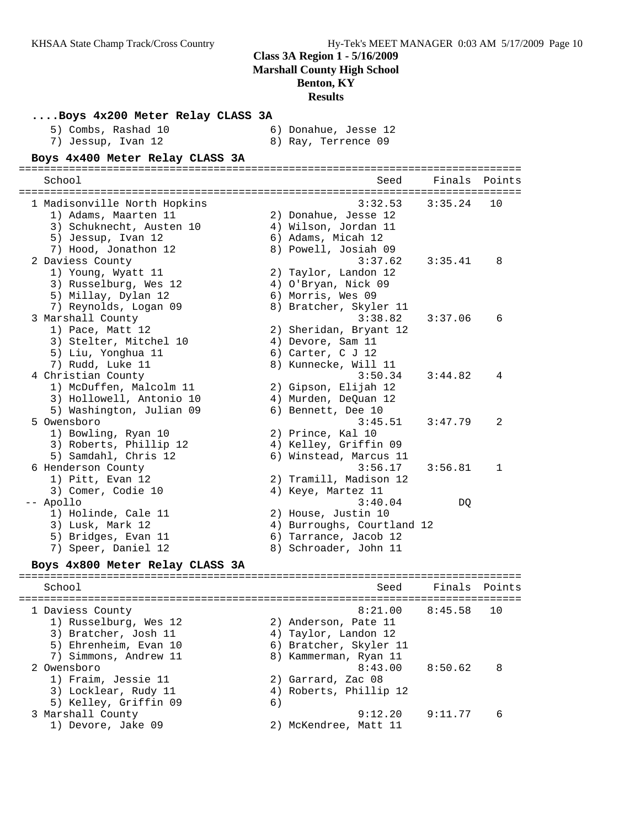| Boys 4x200 Meter Relay CLASS 3A           |    |                                             |         |        |
|-------------------------------------------|----|---------------------------------------------|---------|--------|
| 5) Combs, Rashad 10<br>7) Jessup, Ivan 12 |    | 6) Donahue, Jesse 12<br>8) Ray, Terrence 09 |         |        |
| Boys 4x400 Meter Relay CLASS 3A           |    |                                             |         |        |
| School                                    |    | Seed                                        | Finals  | Points |
|                                           |    |                                             |         |        |
| 1 Madisonville North Hopkins              |    | 3:32.53                                     | 3:35.24 | 10     |
| 1) Adams, Maarten 11                      |    | 2) Donahue, Jesse 12                        |         |        |
| 3) Schuknecht, Austen 10                  |    | 4) Wilson, Jordan 11                        |         |        |
| 5) Jessup, Ivan 12                        |    | 6) Adams, Micah 12                          |         |        |
| 7) Hood, Jonathon 12                      |    | 8) Powell, Josiah 09                        |         |        |
| 2 Daviess County                          |    | 3:37.62                                     | 3:35.41 | 8      |
| 1) Young, Wyatt 11                        |    | 2) Taylor, Landon 12                        |         |        |
| 3) Russelburg, Wes 12                     |    | 4) O'Bryan, Nick 09                         |         |        |
| 5) Millay, Dylan 12                       |    | 6) Morris, Wes 09                           |         |        |
| 7) Reynolds, Logan 09                     |    | 8) Bratcher, Skyler 11                      |         |        |
| 3 Marshall County                         |    | 3:38.82                                     | 3:37.06 | 6      |
| 1) Pace, Matt 12                          |    | 2) Sheridan, Bryant 12                      |         |        |
| 3) Stelter, Mitchel 10                    |    | 4) Devore, Sam 11                           |         |        |
| 5) Liu, Yonghua 11                        |    | 6) Carter, C J 12                           |         |        |
| 7) Rudd, Luke 11                          |    | 8) Kunnecke, Will 11                        |         |        |
| 4 Christian County                        |    | 3:50.34                                     | 3:44.82 | 4      |
| 1) McDuffen, Malcolm 11                   |    | 2) Gipson, Elijah 12                        |         |        |
| 3) Hollowell, Antonio 10                  |    | 4) Murden, DeQuan 12                        |         |        |
| 5) Washington, Julian 09                  |    | 6) Bennett, Dee 10                          |         |        |
| 5 Owensboro                               |    | 3:45.51                                     | 3:47.79 | 2      |
| 1) Bowling, Ryan 10                       |    | 2) Prince, Kal 10                           |         |        |
| 3) Roberts, Phillip 12                    |    | 4) Kelley, Griffin 09                       |         |        |
| 5) Samdahl, Chris 12                      |    | 6) Winstead, Marcus 11                      |         |        |
| 6 Henderson County                        |    | 3:56.17                                     | 3:56.81 | 1      |
| 1) Pitt, Evan 12                          |    | 2) Tramill, Madison 12                      |         |        |
| 3) Comer, Codie 10                        |    | 4) Keye, Martez 11                          |         |        |
| -- Apollo                                 |    | 3:40.04                                     | DQ      |        |
| 1) Holinde, Cale 11                       |    | 2) House, Justin 10                         |         |        |
| 3) Lusk, Mark 12                          |    | 4) Burroughs, Courtland 12                  |         |        |
| 5) Bridges, Evan 11                       |    | 6) Tarrance, Jacob 12                       |         |        |
| 7) Speer, Daniel 12                       |    | 8) Schroader, John 11                       |         |        |
| Boys 4x800 Meter Relay CLASS 3A           |    |                                             |         |        |
|                                           |    |                                             |         |        |
| School                                    |    | Seed                                        | Finals  | Points |
|                                           |    | 8:21.00                                     | 8:45.58 | 10     |
| 1 Daviess County                          |    |                                             |         |        |
| 1) Russelburg, Wes 12                     |    | 2) Anderson, Pate 11                        |         |        |
| 3) Bratcher, Josh 11                      |    | 4) Taylor, Landon 12                        |         |        |
| 5) Ehrenheim, Evan 10                     |    | 6) Bratcher, Skyler 11                      |         |        |
| 7) Simmons, Andrew 11                     |    | 8) Kammerman, Ryan 11                       |         |        |
| 2 Owensboro                               |    | 8:43.00                                     | 8:50.62 | 8      |
| 1) Fraim, Jessie 11                       |    | 2) Garrard, Zac 08                          |         |        |
| 3) Locklear, Rudy 11                      |    | 4) Roberts, Phillip 12                      |         |        |
| 5) Kelley, Griffin 09                     | 6) |                                             |         |        |
| 3 Marshall County                         |    | 9:12.20                                     | 9:11.77 | 6      |
| 1) Devore, Jake 09                        |    | 2) McKendree, Matt 11                       |         |        |